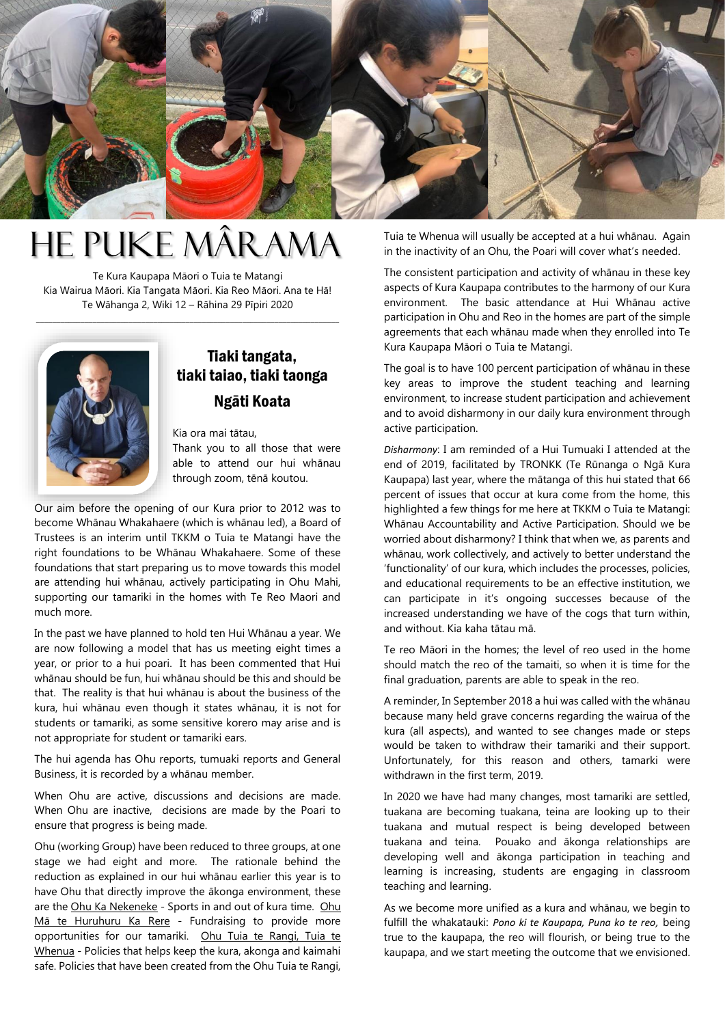

## He Puke Mârama

Te Kura Kaupapa Māori o Tuia te Matangi Kia Wairua Māori. Kia Tangata Māori. Kia Reo Māori. Ana te Hā! Te Wāhanga 2, Wiki 12 – Rāhina 29 Pīpiri 2020

\_\_\_\_\_\_\_\_\_\_\_\_\_\_\_\_\_\_\_\_\_\_\_\_\_\_\_\_\_\_\_\_\_\_\_\_\_\_\_\_\_\_\_\_\_\_\_\_\_\_\_\_\_\_\_\_\_\_\_\_\_\_\_\_\_\_\_\_\_\_\_\_\_\_\_



## Tiaki tangata, tiaki taiao, tiaki taonga Ngāti Koata

Kia ora mai tātau,

Thank you to all those that were able to attend our hui whānau through zoom, tēnā koutou.

Our aim before the opening of our Kura prior to 2012 was to become Whānau Whakahaere (which is whānau led), a Board of Trustees is an interim until TKKM o Tuia te Matangi have the right foundations to be Whānau Whakahaere. Some of these foundations that start preparing us to move towards this model are attending hui whānau, actively participating in Ohu Mahi, supporting our tamariki in the homes with Te Reo Maori and much more.

In the past we have planned to hold ten Hui Whānau a year. We are now following a model that has us meeting eight times a year, or prior to a hui poari. It has been commented that Hui whānau should be fun, hui whānau should be this and should be that. The reality is that hui whānau is about the business of the kura, hui whānau even though it states whānau, it is not for students or tamariki, as some sensitive korero may arise and is not appropriate for student or tamariki ears.

The hui agenda has Ohu reports, tumuaki reports and General Business, it is recorded by a whānau member.

When Ohu are active, discussions and decisions are made. When Ohu are inactive, decisions are made by the Poari to ensure that progress is being made.

Ohu (working Group) have been reduced to three groups, at one stage we had eight and more. The rationale behind the reduction as explained in our hui whānau earlier this year is to have Ohu that directly improve the ākonga environment, these are the Ohu Ka Nekeneke - Sports in and out of kura time. Ohu Mā te Huruhuru Ka Rere - Fundraising to provide more opportunities for our tamariki. Ohu Tuia te Rangi, Tuia te Whenua - Policies that helps keep the kura, akonga and kaimahi safe. Policies that have been created from the Ohu Tuia te Rangi,

Tuia te Whenua will usually be accepted at a hui whānau. Again in the inactivity of an Ohu, the Poari will cover what's needed.

The consistent participation and activity of whānau in these key aspects of Kura Kaupapa contributes to the harmony of our Kura environment. The basic attendance at Hui Whānau active participation in Ohu and Reo in the homes are part of the simple agreements that each whānau made when they enrolled into Te Kura Kaupapa Māori o Tuia te Matangi.

The goal is to have 100 percent participation of whānau in these key areas to improve the student teaching and learning environment, to increase student participation and achievement and to avoid disharmony in our daily kura environment through active participation.

*Disharmony*: I am reminded of a Hui Tumuaki I attended at the end of 2019, facilitated by TRONKK (Te Rūnanga o Ngā Kura Kaupapa) last year, where the mātanga of this hui stated that 66 percent of issues that occur at kura come from the home, this highlighted a few things for me here at TKKM o Tuia te Matangi: Whānau Accountability and Active Participation. Should we be worried about disharmony? I think that when we, as parents and whānau, work collectively, and actively to better understand the 'functionality' of our kura, which includes the processes, policies, and educational requirements to be an effective institution, we can participate in it's ongoing successes because of the increased understanding we have of the cogs that turn within, and without. Kia kaha tātau mā.

Te reo Māori in the homes; the level of reo used in the home should match the reo of the tamaiti, so when it is time for the final graduation, parents are able to speak in the reo.

A reminder, In September 2018 a hui was called with the whānau because many held grave concerns regarding the wairua of the kura (all aspects), and wanted to see changes made or steps would be taken to withdraw their tamariki and their support. Unfortunately, for this reason and others, tamarki were withdrawn in the first term, 2019.

In 2020 we have had many changes, most tamariki are settled, tuakana are becoming tuakana, teina are looking up to their tuakana and mutual respect is being developed between tuakana and teina. Pouako and ākonga relationships are developing well and ākonga participation in teaching and learning is increasing, students are engaging in classroom teaching and learning.

As we become more unified as a kura and whānau, we begin to fulfill the whakatauki: *Pono ki te Kaupapa, Puna ko te reo,* being true to the kaupapa, the reo will flourish, or being true to the kaupapa, and we start meeting the outcome that we envisioned.